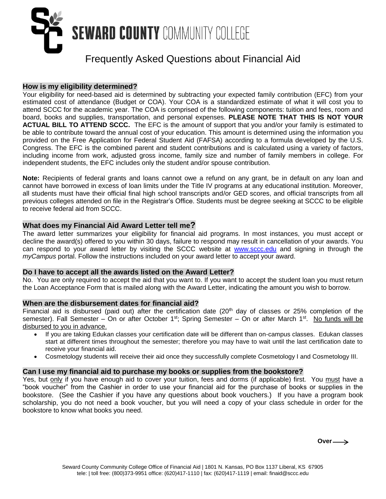

# Frequently Asked Questions about Financial Aid

## **How is my eligibility determined?**

Your eligibility for need-based aid is determined by subtracting your expected family contribution (EFC) from your estimated cost of attendance (Budget or COA). Your COA is a standardized estimate of what it will cost you to attend SCCC for the academic year. The COA is comprised of the following components: tuition and fees, room and board, books and supplies, transportation, and personal expenses. **PLEASE NOTE THAT THIS IS NOT YOUR ACTUAL BILL TO ATTEND SCCC.** The EFC is the amount of support that you and/or your family is estimated to be able to contribute toward the annual cost of your education. This amount is determined using the information you provided on the Free Application for Federal Student Aid (FAFSA) according to a formula developed by the U.S. Congress. The EFC is the combined parent and student contributions and is calculated using a variety of factors, including income from work, adjusted gross income, family size and number of family members in college. For independent students, the EFC includes only the student and/or spouse contribution.

**Note:** Recipients of federal grants and loans cannot owe a refund on any grant, be in default on any loan and cannot have borrowed in excess of loan limits under the Title IV programs at any educational institution. Moreover, all students must have their official final high school transcripts and/or GED scores, and official transcripts from all previous colleges attended on file in the Registrar's Office. Students must be degree seeking at SCCC to be eligible to receive federal aid from SCCC.

# **What does my Financial Aid Award Letter tell me?**

The award letter summarizes your eligibility for financial aid programs. In most instances, you must accept or decline the award(s) offered to you within 30 days, failure to respond may result in cancellation of your awards. You can respond to your award letter by visiting the SCCC website at [www.sccc.edu](http://www.sccc.edu/) and signing in through the *myCampus* portal. Follow the instructions included on your award letter to accept your award.

## **Do I have to accept all the awards listed on the Award Letter?**

No. You are only required to accept the aid that you want to. If you want to accept the student loan you must return the Loan Acceptance Form that is mailed along with the Award Letter, indicating the amount you wish to borrow.

## **When are the disbursement dates for financial aid?**

Financial aid is disbursed (paid out) after the certification date  $(20<sup>th</sup>$  day of classes or 25% completion of the semester). Fall Semester – On or after October 1<sup>st</sup>; Spring Semester – On or after March 1<sup>st</sup>. No funds will be disbursed to you in advance.

- If you are taking Edukan classes your certification date will be different than on-campus classes. Edukan classes start at different times throughout the semester; therefore you may have to wait until the last certification date to receive your financial aid.
- Cosmetology students will receive their aid once they successfully complete Cosmetology I and Cosmetology III.

## **Can I use my financial aid to purchase my books or supplies from the bookstore?**

Yes, but only if you have enough aid to cover your tuition, fees and dorms (if applicable) first. You must have a "book voucher" from the Cashier in order to use your financial aid for the purchase of books or supplies in the bookstore. (See the Cashier if you have any questions about book vouchers.) If you have a program book scholarship, you do not need a book voucher, but you will need a copy of your class schedule in order for the bookstore to know what books you need.

 $Over \rightarrow$